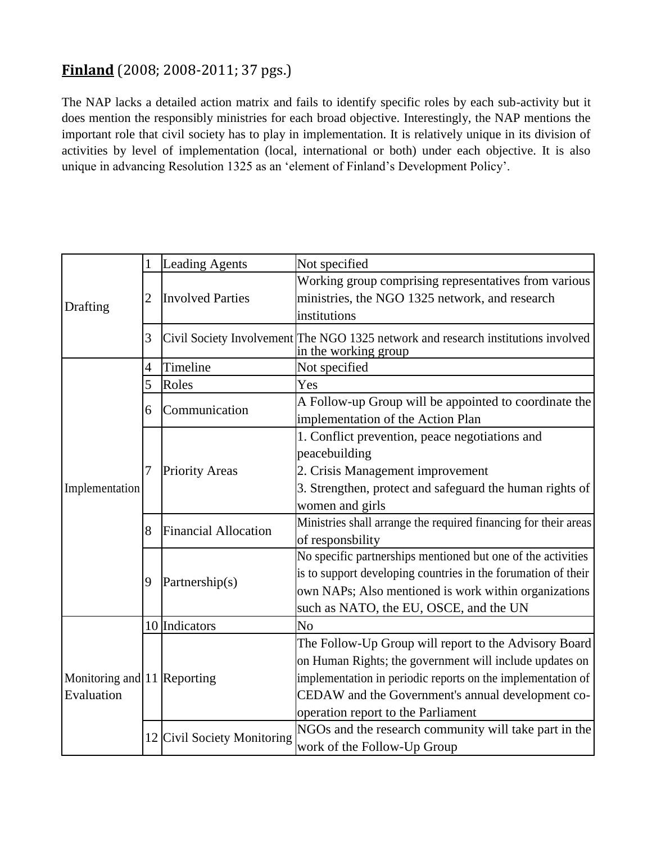## **Finland** (2008; 2008-2011; 37 pgs.)

The NAP lacks a detailed action matrix and fails to identify specific roles by each sub-activity but it does mention the responsibly ministries for each broad objective. Interestingly, the NAP mentions the important role that civil society has to play in implementation. It is relatively unique in its division of activities by level of implementation (local, international or both) under each objective. It is also unique in advancing Resolution 1325 as an 'element of Finland's Development Policy'.

| Drafting                                  | 1              | <b>Leading Agents</b>       | Not specified                                                                                                                                                                                                                                                              |
|-------------------------------------------|----------------|-----------------------------|----------------------------------------------------------------------------------------------------------------------------------------------------------------------------------------------------------------------------------------------------------------------------|
|                                           | $\overline{2}$ | <b>Involved Parties</b>     | Working group comprising representatives from various<br>ministries, the NGO 1325 network, and research<br>institutions                                                                                                                                                    |
|                                           | 3              |                             | Civil Society Involvement The NGO 1325 network and research institutions involved<br>in the working group                                                                                                                                                                  |
| Implementation                            | 4              | Timeline                    | Not specified                                                                                                                                                                                                                                                              |
|                                           | 5              | Roles                       | Yes                                                                                                                                                                                                                                                                        |
|                                           | 6              | Communication               | A Follow-up Group will be appointed to coordinate the                                                                                                                                                                                                                      |
|                                           | 7              | <b>Priority Areas</b>       | implementation of the Action Plan<br>1. Conflict prevention, peace negotiations and<br>peacebuilding<br>2. Crisis Management improvement<br>3. Strengthen, protect and safeguard the human rights of                                                                       |
|                                           | 8              | <b>Financial Allocation</b> | women and girls<br>Ministries shall arrange the required financing for their areas<br>of responsbility                                                                                                                                                                     |
|                                           | 9              | Partnership(s)              | No specific partnerships mentioned but one of the activities<br>is to support developing countries in the forumation of their<br>own NAPs; Also mentioned is work within organizations<br>such as NATO, the EU, OSCE, and the UN                                           |
| Monitoring and 11 Reporting<br>Evaluation |                | 10 Indicators               | No                                                                                                                                                                                                                                                                         |
|                                           |                |                             | The Follow-Up Group will report to the Advisory Board<br>on Human Rights; the government will include updates on<br>implementation in periodic reports on the implementation of<br>CEDAW and the Government's annual development co-<br>operation report to the Parliament |
|                                           |                | 12 Civil Society Monitoring | NGOs and the research community will take part in the<br>work of the Follow-Up Group                                                                                                                                                                                       |